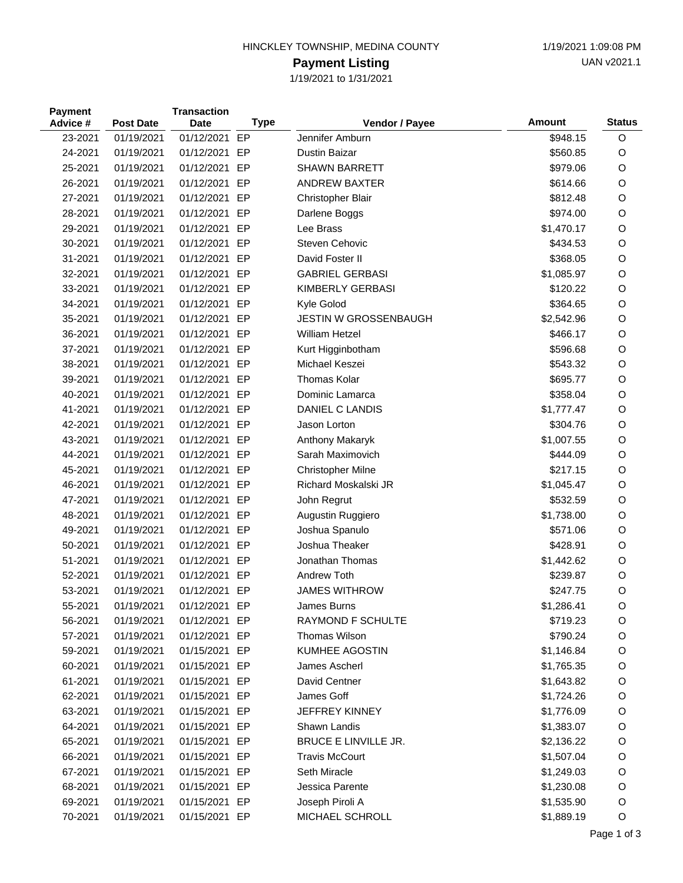## HINCKLEY TOWNSHIP, MEDINA COUNTY 1/19/2021 1:09:08 PM

## **Payment Listing**

1/19/2021 to 1/31/2021

| <b>Payment</b><br>Advice # | <b>Post Date</b> | <b>Transaction</b><br>Date | <b>Type</b> | Vendor / Payee               | <b>Amount</b> | <b>Status</b> |
|----------------------------|------------------|----------------------------|-------------|------------------------------|---------------|---------------|
| 23-2021                    | 01/19/2021       | 01/12/2021 EP              |             | Jennifer Amburn              | \$948.15      | $\circ$       |
| 24-2021                    | 01/19/2021       | 01/12/2021                 | EP          | <b>Dustin Baizar</b>         | \$560.85      | O             |
| 25-2021                    | 01/19/2021       | 01/12/2021                 | EP          | <b>SHAWN BARRETT</b>         | \$979.06      | O             |
| 26-2021                    | 01/19/2021       | 01/12/2021 EP              |             | <b>ANDREW BAXTER</b>         | \$614.66      | O             |
| 27-2021                    | 01/19/2021       | 01/12/2021                 | EP          | Christopher Blair            | \$812.48      | O             |
| 28-2021                    | 01/19/2021       | 01/12/2021                 | EP          | Darlene Boggs                | \$974.00      | O             |
| 29-2021                    | 01/19/2021       | 01/12/2021                 | EP          | Lee Brass                    | \$1,470.17    | O             |
| 30-2021                    | 01/19/2021       | 01/12/2021 EP              |             | Steven Cehovic               | \$434.53      | O             |
| 31-2021                    | 01/19/2021       | 01/12/2021                 | EP          | David Foster II              | \$368.05      | O             |
| 32-2021                    | 01/19/2021       | 01/12/2021                 | EP          | <b>GABRIEL GERBASI</b>       | \$1,085.97    | O             |
| 33-2021                    | 01/19/2021       | 01/12/2021                 | EP          | KIMBERLY GERBASI             | \$120.22      | O             |
| 34-2021                    | 01/19/2021       | 01/12/2021 EP              |             | Kyle Golod                   | \$364.65      | O             |
| 35-2021                    | 01/19/2021       | 01/12/2021                 | EP          | <b>JESTIN W GROSSENBAUGH</b> | \$2,542.96    | O             |
| 36-2021                    | 01/19/2021       | 01/12/2021                 | EP          | <b>William Hetzel</b>        | \$466.17      | O             |
| 37-2021                    | 01/19/2021       | 01/12/2021                 | EP          | Kurt Higginbotham            | \$596.68      | O             |
| 38-2021                    | 01/19/2021       | 01/12/2021 EP              |             | Michael Keszei               | \$543.32      | O             |
| 39-2021                    | 01/19/2021       | 01/12/2021 EP              |             | Thomas Kolar                 | \$695.77      | O             |
| 40-2021                    | 01/19/2021       | 01/12/2021                 | EP          | Dominic Lamarca              | \$358.04      | O             |
| 41-2021                    | 01/19/2021       | 01/12/2021                 | EP          | DANIEL C LANDIS              | \$1,777.47    | O             |
| 42-2021                    | 01/19/2021       | 01/12/2021 EP              |             | Jason Lorton                 | \$304.76      | O             |
| 43-2021                    | 01/19/2021       | 01/12/2021 EP              |             | Anthony Makaryk              | \$1,007.55    | O             |
| 44-2021                    | 01/19/2021       | 01/12/2021                 | EP          | Sarah Maximovich             | \$444.09      | O             |
| 45-2021                    | 01/19/2021       | 01/12/2021                 | EP          | <b>Christopher Milne</b>     | \$217.15      | O             |
| 46-2021                    | 01/19/2021       | 01/12/2021 EP              |             | Richard Moskalski JR         | \$1,045.47    | O             |
| 47-2021                    | 01/19/2021       | 01/12/2021                 | EP          | John Regrut                  | \$532.59      | O             |
| 48-2021                    | 01/19/2021       | 01/12/2021                 | EP          | Augustin Ruggiero            | \$1,738.00    | O             |
| 49-2021                    | 01/19/2021       | 01/12/2021 EP              |             | Joshua Spanulo               | \$571.06      | O             |
| 50-2021                    | 01/19/2021       | 01/12/2021 EP              |             | Joshua Theaker               | \$428.91      | O             |
| 51-2021                    | 01/19/2021       | 01/12/2021                 | EP          | Jonathan Thomas              | \$1,442.62    | O             |
| 52-2021                    | 01/19/2021       | 01/12/2021                 | EP          | Andrew Toth                  | \$239.87      | O             |
| 53-2021                    | 01/19/2021       | 01/12/2021 EP              |             | <b>JAMES WITHROW</b>         | \$247.75      | O             |
| 55-2021                    | 01/19/2021       | 01/12/2021 EP              |             | James Burns                  | \$1,286.41    | O             |
| 56-2021                    | 01/19/2021       | 01/12/2021 EP              |             | RAYMOND F SCHULTE            | \$719.23      | O             |
| 57-2021                    | 01/19/2021       | 01/12/2021 EP              |             | Thomas Wilson                | \$790.24      | O             |
| 59-2021                    | 01/19/2021       | 01/15/2021 EP              |             | <b>KUMHEE AGOSTIN</b>        | \$1,146.84    | O             |
| 60-2021                    | 01/19/2021       | 01/15/2021 EP              |             | James Ascherl                | \$1,765.35    | O             |
| 61-2021                    | 01/19/2021       | 01/15/2021 EP              |             | David Centner                | \$1,643.82    | O             |
| 62-2021                    | 01/19/2021       | 01/15/2021 EP              |             | James Goff                   | \$1,724.26    | O             |
| 63-2021                    | 01/19/2021       | 01/15/2021 EP              |             | JEFFREY KINNEY               | \$1,776.09    | O             |
| 64-2021                    | 01/19/2021       | 01/15/2021 EP              |             | Shawn Landis                 | \$1,383.07    | O             |
| 65-2021                    | 01/19/2021       | 01/15/2021 EP              |             | <b>BRUCE E LINVILLE JR.</b>  | \$2,136.22    | O             |
| 66-2021                    | 01/19/2021       | 01/15/2021 EP              |             | <b>Travis McCourt</b>        | \$1,507.04    | O             |
| 67-2021                    | 01/19/2021       | 01/15/2021 EP              |             | Seth Miracle                 | \$1,249.03    | O             |
| 68-2021                    | 01/19/2021       | 01/15/2021 EP              |             | Jessica Parente              | \$1,230.08    | O             |
| 69-2021                    | 01/19/2021       | 01/15/2021 EP              |             | Joseph Piroli A              | \$1,535.90    | $\circ$       |
| 70-2021                    | 01/19/2021       | 01/15/2021 EP              |             | MICHAEL SCHROLL              | \$1,889.19    | O             |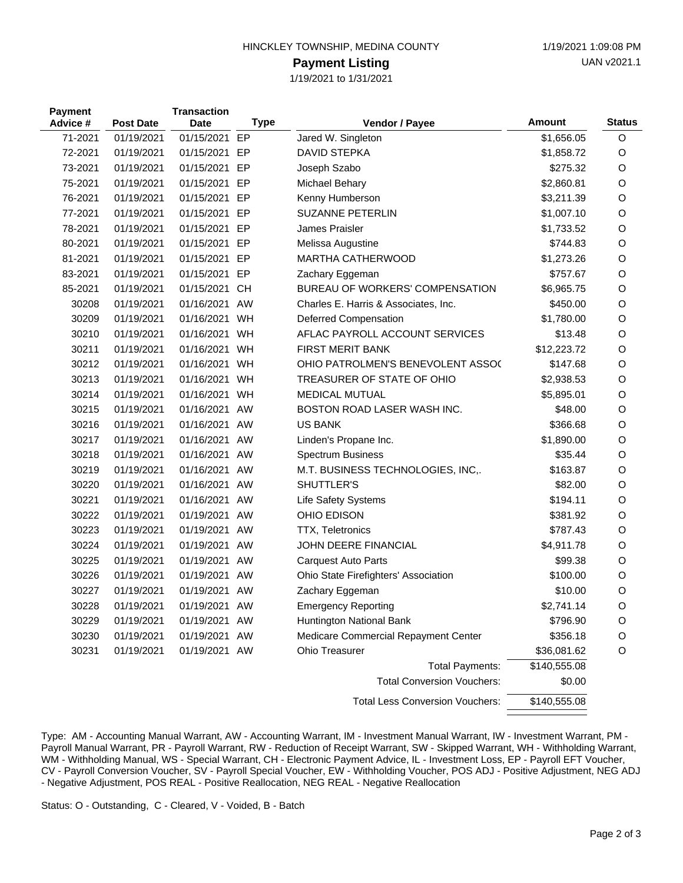| HINCKLEY TOWNSHIP, MEDINA COUNTY |  |
|----------------------------------|--|
|                                  |  |

## **Payment Listing**

1/19/2021 to 1/31/2021

| <b>Payment</b><br>Advice # | <b>Post Date</b> | <b>Transaction</b><br><b>Date</b> | Type      | Vendor / Payee                         | Amount       | <b>Status</b> |
|----------------------------|------------------|-----------------------------------|-----------|----------------------------------------|--------------|---------------|
| 71-2021                    | 01/19/2021       | 01/15/2021                        | EP        | Jared W. Singleton                     | \$1,656.05   | O             |
| 72-2021                    | 01/19/2021       | 01/15/2021                        | EP        | <b>DAVID STEPKA</b>                    | \$1,858.72   | O             |
| 73-2021                    | 01/19/2021       | 01/15/2021                        | EP        | Joseph Szabo                           | \$275.32     | O             |
| 75-2021                    | 01/19/2021       | 01/15/2021                        | EP        | Michael Behary                         | \$2,860.81   | O             |
| 76-2021                    | 01/19/2021       | 01/15/2021 EP                     |           | Kenny Humberson                        | \$3,211.39   | O             |
| 77-2021                    | 01/19/2021       | 01/15/2021 EP                     |           | <b>SUZANNE PETERLIN</b>                | \$1,007.10   | O             |
| 78-2021                    | 01/19/2021       | 01/15/2021                        | EP        | James Praisler                         | \$1,733.52   | O             |
| 80-2021                    | 01/19/2021       | 01/15/2021 EP                     |           | Melissa Augustine                      | \$744.83     | O             |
| 81-2021                    | 01/19/2021       | 01/15/2021 EP                     |           | <b>MARTHA CATHERWOOD</b>               | \$1,273.26   | O             |
| 83-2021                    | 01/19/2021       | 01/15/2021 EP                     |           | Zachary Eggeman                        | \$757.67     | O             |
| 85-2021                    | 01/19/2021       | 01/15/2021                        | <b>CH</b> | BUREAU OF WORKERS' COMPENSATION        | \$6,965.75   | O             |
| 30208                      | 01/19/2021       | 01/16/2021 AW                     |           | Charles E. Harris & Associates, Inc.   | \$450.00     | O             |
| 30209                      | 01/19/2021       | 01/16/2021 WH                     |           | Deferred Compensation                  | \$1,780.00   | O             |
| 30210                      | 01/19/2021       | 01/16/2021                        | WH        | AFLAC PAYROLL ACCOUNT SERVICES         | \$13.48      | O             |
| 30211                      | 01/19/2021       | 01/16/2021                        | WH        | <b>FIRST MERIT BANK</b>                | \$12,223.72  | O             |
| 30212                      | 01/19/2021       | 01/16/2021                        | WH        | OHIO PATROLMEN'S BENEVOLENT ASSO(      | \$147.68     | O             |
| 30213                      | 01/19/2021       | 01/16/2021                        | WH        | TREASURER OF STATE OF OHIO             | \$2,938.53   | O             |
| 30214                      | 01/19/2021       | 01/16/2021                        | WH        | <b>MEDICAL MUTUAL</b>                  | \$5,895.01   | O             |
| 30215                      | 01/19/2021       | 01/16/2021 AW                     |           | BOSTON ROAD LASER WASH INC.            | \$48.00      | O             |
| 30216                      | 01/19/2021       | 01/16/2021 AW                     |           | <b>US BANK</b>                         | \$366.68     | O             |
| 30217                      | 01/19/2021       | 01/16/2021 AW                     |           | Linden's Propane Inc.                  | \$1,890.00   | O             |
| 30218                      | 01/19/2021       | 01/16/2021 AW                     |           | <b>Spectrum Business</b>               | \$35.44      | O             |
| 30219                      | 01/19/2021       | 01/16/2021 AW                     |           | M.T. BUSINESS TECHNOLOGIES, INC,.      | \$163.87     | O             |
| 30220                      | 01/19/2021       | 01/16/2021 AW                     |           | SHUTTLER'S                             | \$82.00      | O             |
| 30221                      | 01/19/2021       | 01/16/2021 AW                     |           | Life Safety Systems                    | \$194.11     | O             |
| 30222                      | 01/19/2021       | 01/19/2021 AW                     |           | OHIO EDISON                            | \$381.92     | O             |
| 30223                      | 01/19/2021       | 01/19/2021 AW                     |           | <b>TTX, Teletronics</b>                | \$787.43     | O             |
| 30224                      | 01/19/2021       | 01/19/2021 AW                     |           | JOHN DEERE FINANCIAL                   | \$4,911.78   | O             |
| 30225                      | 01/19/2021       | 01/19/2021 AW                     |           | <b>Carquest Auto Parts</b>             | \$99.38      | O             |
| 30226                      | 01/19/2021       | 01/19/2021 AW                     |           | Ohio State Firefighters' Association   | \$100.00     | O             |
| 30227                      | 01/19/2021       | 01/19/2021 AW                     |           | Zachary Eggeman                        | \$10.00      | O             |
| 30228                      | 01/19/2021       | 01/19/2021 AW                     |           | <b>Emergency Reporting</b>             | \$2,741.14   | O             |
| 30229                      | 01/19/2021       | 01/19/2021 AW                     |           | Huntington National Bank               | \$796.90     | O             |
| 30230                      | 01/19/2021       | 01/19/2021                        | AW        | Medicare Commercial Repayment Center   | \$356.18     | O             |
| 30231                      | 01/19/2021       | 01/19/2021 AW                     |           | Ohio Treasurer                         | \$36,081.62  | O             |
|                            |                  |                                   |           | <b>Total Payments:</b>                 | \$140,555.08 |               |
|                            |                  |                                   |           | <b>Total Conversion Vouchers:</b>      | \$0.00       |               |
|                            |                  |                                   |           | <b>Total Less Conversion Vouchers:</b> | \$140,555.08 |               |

Type: AM - Accounting Manual Warrant, AW - Accounting Warrant, IM - Investment Manual Warrant, IW - Investment Warrant, PM - Payroll Manual Warrant, PR - Payroll Warrant, RW - Reduction of Receipt Warrant, SW - Skipped Warrant, WH - Withholding Warrant, WM - Withholding Manual, WS - Special Warrant, CH - Electronic Payment Advice, IL - Investment Loss, EP - Payroll EFT Voucher, CV - Payroll Conversion Voucher, SV - Payroll Special Voucher, EW - Withholding Voucher, POS ADJ - Positive Adjustment, NEG ADJ - Negative Adjustment, POS REAL - Positive Reallocation, NEG REAL - Negative Reallocation

Status: O - Outstanding, C - Cleared, V - Voided, B - Batch